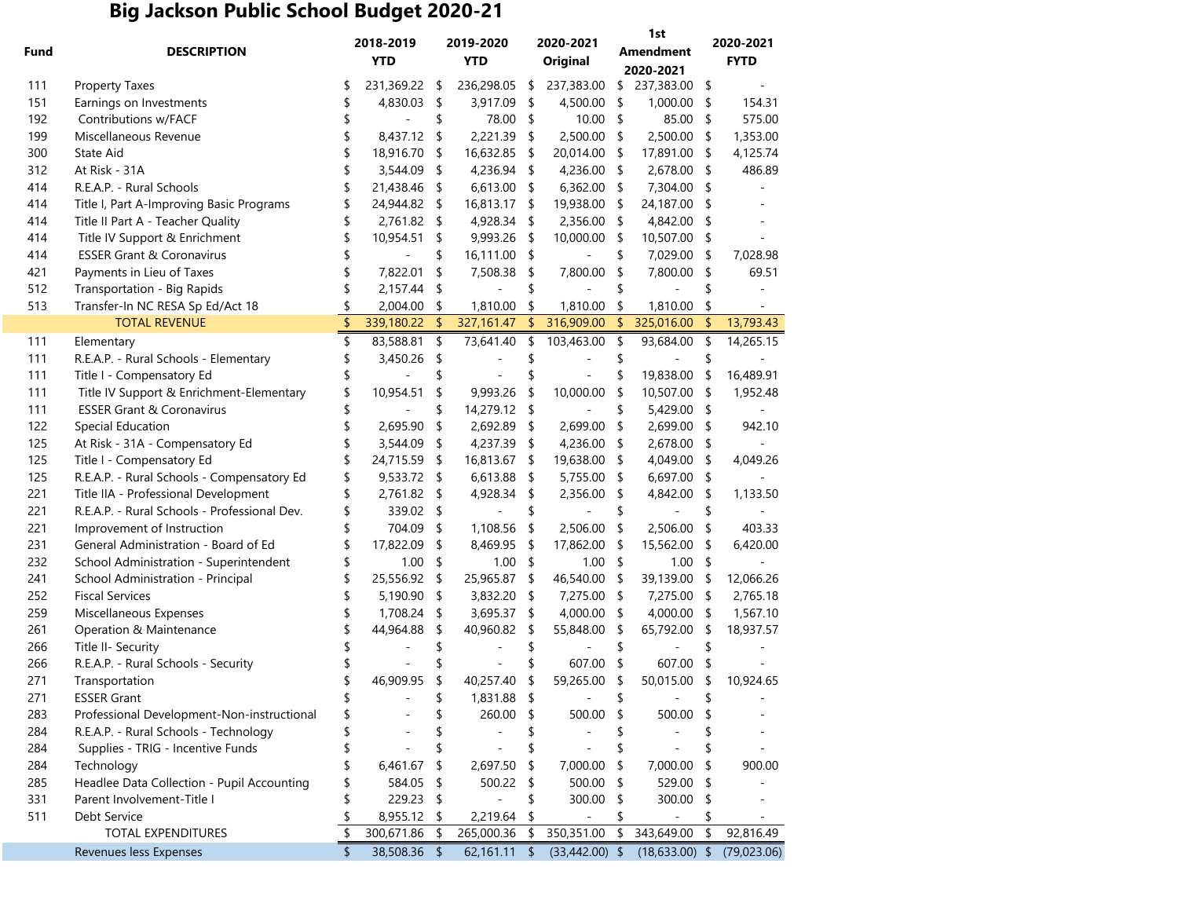## **Big Jackson Public School Budget 2020-21**

| Fund | <b>DESCRIPTION</b>                           |    | 2018-2019<br><b>YTD</b> |               | 2019-2020<br><b>YTD</b> |                | 2020-2021<br>Original |    | 1st<br><b>Amendment</b><br>2020-2021 |    | 2020-2021<br><b>FYTD</b> |  |
|------|----------------------------------------------|----|-------------------------|---------------|-------------------------|----------------|-----------------------|----|--------------------------------------|----|--------------------------|--|
| 111  | <b>Property Taxes</b>                        | \$ | 231,369.22              | - \$          | 236,298.05              | \$             | 237,383.00            | \$ | 237,383.00                           | \$ |                          |  |
| 151  | Earnings on Investments                      | \$ | 4,830.03                | \$            | 3,917.09                | \$             | 4,500.00              | \$ | 1,000.00                             | \$ | 154.31                   |  |
| 192  | Contributions w/FACF                         | \$ |                         | \$            | 78.00                   | \$             | 10.00                 | \$ | 85.00                                | \$ | 575.00                   |  |
| 199  | Miscellaneous Revenue                        | \$ | 8,437.12                | $\sqrt{2}$    | 2,221.39                | \$             | 2,500.00              | \$ | 2,500.00                             | \$ | 1,353.00                 |  |
| 300  | State Aid                                    | \$ | 18,916.70               | $\sqrt{2}$    | 16,632.85               | \$             | 20,014.00             | \$ | 17,891.00                            | \$ | 4,125.74                 |  |
| 312  | At Risk - 31A                                | \$ | 3,544.09                | \$            | 4,236.94                | \$             | 4,236.00              | \$ | 2,678.00                             | \$ | 486.89                   |  |
| 414  | R.E.A.P. - Rural Schools                     | \$ | 21,438.46               | $\mathsf{\$}$ | 6,613.00                | \$             | 6,362.00              | \$ | 7,304.00                             | \$ |                          |  |
| 414  | Title I, Part A-Improving Basic Programs     | \$ | 24,944.82 \$            |               | 16,813.17               | \$             | 19,938.00             | \$ | 24,187.00                            | \$ |                          |  |
| 414  | Title II Part A - Teacher Quality            | \$ | 2,761.82 \$             |               | 4,928.34                | \$             | 2,356.00              | \$ | 4,842.00                             | \$ |                          |  |
| 414  | Title IV Support & Enrichment                | \$ | 10,954.51               | -\$           | 9,993.26                | \$             | 10,000.00             | \$ | 10,507.00                            | \$ |                          |  |
| 414  | <b>ESSER Grant &amp; Coronavirus</b>         | \$ |                         | \$            | 16,111.00               | \$             |                       | \$ | 7,029.00                             | \$ | 7,028.98                 |  |
| 421  | Payments in Lieu of Taxes                    | \$ | 7,822.01                | \$            | 7,508.38                | \$             | 7,800.00              | \$ | 7,800.00                             | \$ | 69.51                    |  |
| 512  | Transportation - Big Rapids                  | \$ | 2,157.44                | \$            |                         | \$             |                       | \$ |                                      | \$ |                          |  |
| 513  | Transfer-In NC RESA Sp Ed/Act 18             | \$ | 2,004.00                | \$            | 1,810.00                | \$             | 1,810.00              | \$ | 1,810.00                             | \$ |                          |  |
|      | <b>TOTAL REVENUE</b>                         | \$ | 339,180.22              | $\sqrt{2}$    | 327,161.47              | \$             | 316,909.00            | \$ | 325,016.00                           | \$ | 13,793.43                |  |
| 111  | Elementary                                   | \$ | 83,588.81               | $\mathsf{S}$  | 73,641.40               | \$             | 103,463.00            | \$ | 93,684.00                            | \$ | 14,265.15                |  |
| 111  | R.E.A.P. - Rural Schools - Elementary        | \$ | 3,450.26                | \$            |                         |                |                       |    |                                      |    |                          |  |
| 111  | Title I - Compensatory Ed                    | \$ |                         | \$            |                         | \$             |                       | \$ | 19,838.00                            | \$ | 16,489.91                |  |
| 111  | Title IV Support & Enrichment-Elementary     | \$ | 10,954.51               | \$            | 9,993.26                | \$             | 10,000.00             | \$ | 10,507.00                            | \$ | 1,952.48                 |  |
| 111  | <b>ESSER Grant &amp; Coronavirus</b>         | \$ |                         | \$            | 14,279.12               | \$             |                       | \$ | 5,429.00                             | \$ |                          |  |
| 122  | <b>Special Education</b>                     |    | 2,695.90                | \$            | 2,692.89                | \$             | 2,699.00              | \$ | 2,699.00                             | \$ | 942.10                   |  |
| 125  | At Risk - 31A - Compensatory Ed              | \$ | 3,544.09                | \$            | 4,237.39                | \$             | 4,236.00              | \$ | 2,678.00                             | \$ |                          |  |
| 125  | Title I - Compensatory Ed                    | \$ | 24,715.59               | \$            | 16,813.67               | \$             | 19,638.00             | \$ | 4,049.00                             | \$ | 4,049.26                 |  |
| 125  | R.E.A.P. - Rural Schools - Compensatory Ed   | \$ | 9,533.72                | -\$           | 6,613.88                | \$             | 5,755.00              | \$ | 6,697.00                             | \$ |                          |  |
| 221  | Title IIA - Professional Development         | \$ | 2,761.82                | \$            | 4,928.34                | \$             | 2,356.00              | \$ | 4,842.00                             | \$ | 1,133.50                 |  |
| 221  | R.E.A.P. - Rural Schools - Professional Dev. | \$ | 339.02 \$               |               |                         | \$             |                       | \$ |                                      |    |                          |  |
| 221  | Improvement of Instruction                   | \$ | 704.09                  | \$            | 1,108.56                | \$             | 2,506.00              | \$ | 2,506.00                             | \$ | 403.33                   |  |
| 231  | General Administration - Board of Ed         | \$ | 17,822.09               | \$            | 8,469.95                | \$             | 17,862.00             | \$ | 15,562.00                            | \$ | 6,420.00                 |  |
| 232  | School Administration - Superintendent       | \$ | 1.00                    | \$            | 1.00                    | \$             | 1.00                  | \$ | 1.00                                 | \$ |                          |  |
| 241  | School Administration - Principal            | \$ | 25,556.92 \$            |               | 25,965.87               | \$             | 46,540.00             | \$ | 39,139.00                            | \$ | 12,066.26                |  |
| 252  | <b>Fiscal Services</b>                       |    | 5,190.90                | -\$           | 3,832.20                | \$             | 7,275.00              | \$ | 7,275.00                             | \$ | 2,765.18                 |  |
| 259  | Miscellaneous Expenses                       | \$ | 1,708.24 \$             |               | 3,695.37                | \$             | 4,000.00              | \$ | 4,000.00                             | \$ | 1,567.10                 |  |
| 261  | Operation & Maintenance                      | \$ | 44,964.88               | \$            | 40,960.82               | \$             | 55,848.00             | \$ | 65,792.00                            | \$ | 18,937.57                |  |
| 266  | Title II- Security                           | \$ |                         |               |                         | S              |                       | \$ |                                      |    |                          |  |
| 266  | R.E.A.P. - Rural Schools - Security          | \$ |                         |               |                         | \$             | 607.00                | \$ | 607.00                               | \$ |                          |  |
| 271  | Transportation                               | \$ | 46,909.95               | \$            | 40,257.40               | \$             | 59,265.00             | \$ | 50,015.00                            | \$ | 10,924.65                |  |
| 271  | <b>ESSER Grant</b>                           |    |                         |               | 1,831.88                | $\updownarrow$ |                       | \$ |                                      |    |                          |  |
| 283  | Professional Development-Non-instructional   | \$ |                         | \$            | 260.00                  | \$             | 500.00                | \$ | 500.00                               |    |                          |  |
| 284  | R.E.A.P. - Rural Schools - Technology        |    |                         | £             |                         | \$             |                       | \$ |                                      |    |                          |  |
| 284  | Supplies - TRIG - Incentive Funds            |    |                         | \$            |                         | \$             |                       | \$ |                                      |    |                          |  |
| 284  | Technology                                   |    | 6,461.67                | \$            | 2,697.50                | S              | 7,000.00              | \$ | 7,000.00                             | \$ | 900.00                   |  |
| 285  | Headlee Data Collection - Pupil Accounting   |    | 584.05                  | \$            | 500.22                  | \$             | 500.00                | \$ | 529.00                               |    |                          |  |
| 331  | Parent Involvement-Title I                   | S  | 229.23                  | \$            |                         | \$             | 300.00                | \$ | 300.00                               | \$ |                          |  |
| 511  | Debt Service                                 | \$ | 8,955.12 \$             |               | 2,219.64                | \$             |                       |    |                                      | \$ |                          |  |
|      | TOTAL EXPENDITURES                           | \$ | 300,671.86              | \$            | 265,000.36              | \$             | 350,351.00            | \$ | 343,649.00                           | \$ | 92,816.49                |  |
|      | Revenues less Expenses                       | \$ | 38,508.36 \$            |               | 62,161.11               | \$             | $(33,442.00)$ \$      |    | $(18, 633.00)$ \$                    |    | (79,023.06)              |  |